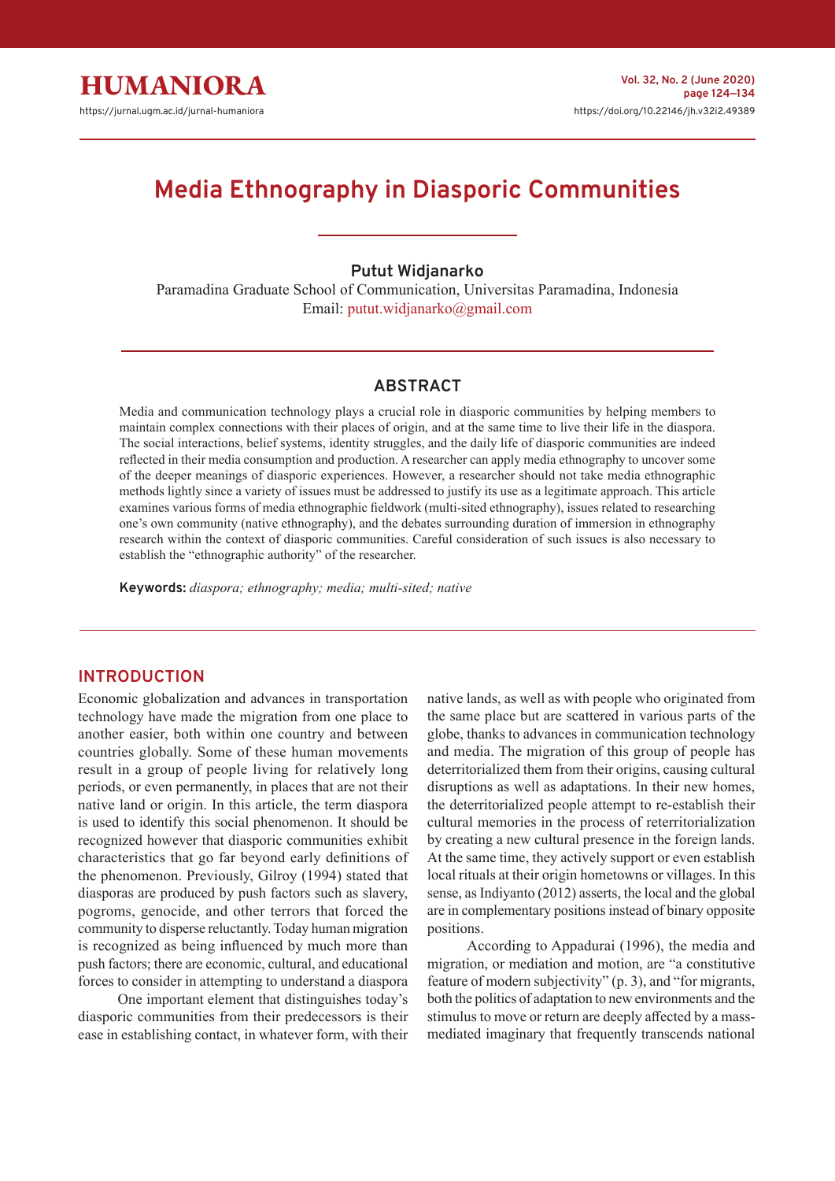# **Media Ethnography in Diasporic Communities**

**Putut Widjanarko**

Paramadina Graduate School of Communication, Universitas Paramadina, Indonesia Email: putut.widjanarko@gmail.com

#### **ABSTRACT**

Media and communication technology plays a crucial role in diasporic communities by helping members to maintain complex connections with their places of origin, and at the same time to live their life in the diaspora. The social interactions, belief systems, identity struggles, and the daily life of diasporic communities are indeed reflected in their media consumption and production. A researcher can apply media ethnography to uncover some of the deeper meanings of diasporic experiences. However, a researcher should not take media ethnographic methods lightly since a variety of issues must be addressed to justify its use as a legitimate approach. This article examines various forms of media ethnographic fieldwork (multi-sited ethnography), issues related to researching one's own community (native ethnography), and the debates surrounding duration of immersion in ethnography research within the context of diasporic communities. Careful consideration of such issues is also necessary to establish the "ethnographic authority" of the researcher.

**Keywords:** *diaspora; ethnography; media; multi-sited; native*

### **INTRODUCTION**

Economic globalization and advances in transportation technology have made the migration from one place to another easier, both within one country and between countries globally. Some of these human movements result in a group of people living for relatively long periods, or even permanently, in places that are not their native land or origin. In this article, the term diaspora is used to identify this social phenomenon. It should be recognized however that diasporic communities exhibit characteristics that go far beyond early definitions of the phenomenon. Previously, Gilroy (1994) stated that diasporas are produced by push factors such as slavery, pogroms, genocide, and other terrors that forced the community to disperse reluctantly. Today human migration is recognized as being influenced by much more than push factors; there are economic, cultural, and educational forces to consider in attempting to understand a diaspora

One important element that distinguishes today's diasporic communities from their predecessors is their ease in establishing contact, in whatever form, with their native lands, as well as with people who originated from the same place but are scattered in various parts of the globe, thanks to advances in communication technology and media. The migration of this group of people has deterritorialized them from their origins, causing cultural disruptions as well as adaptations. In their new homes, the deterritorialized people attempt to re-establish their cultural memories in the process of reterritorialization by creating a new cultural presence in the foreign lands. At the same time, they actively support or even establish local rituals at their origin hometowns or villages. In this sense, as Indiyanto (2012) asserts, the local and the global are in complementary positions instead of binary opposite positions.

According to Appadurai (1996), the media and migration, or mediation and motion, are "a constitutive feature of modern subjectivity" (p. 3), and "for migrants, both the politics of adaptation to new environments and the stimulus to move or return are deeply affected by a massmediated imaginary that frequently transcends national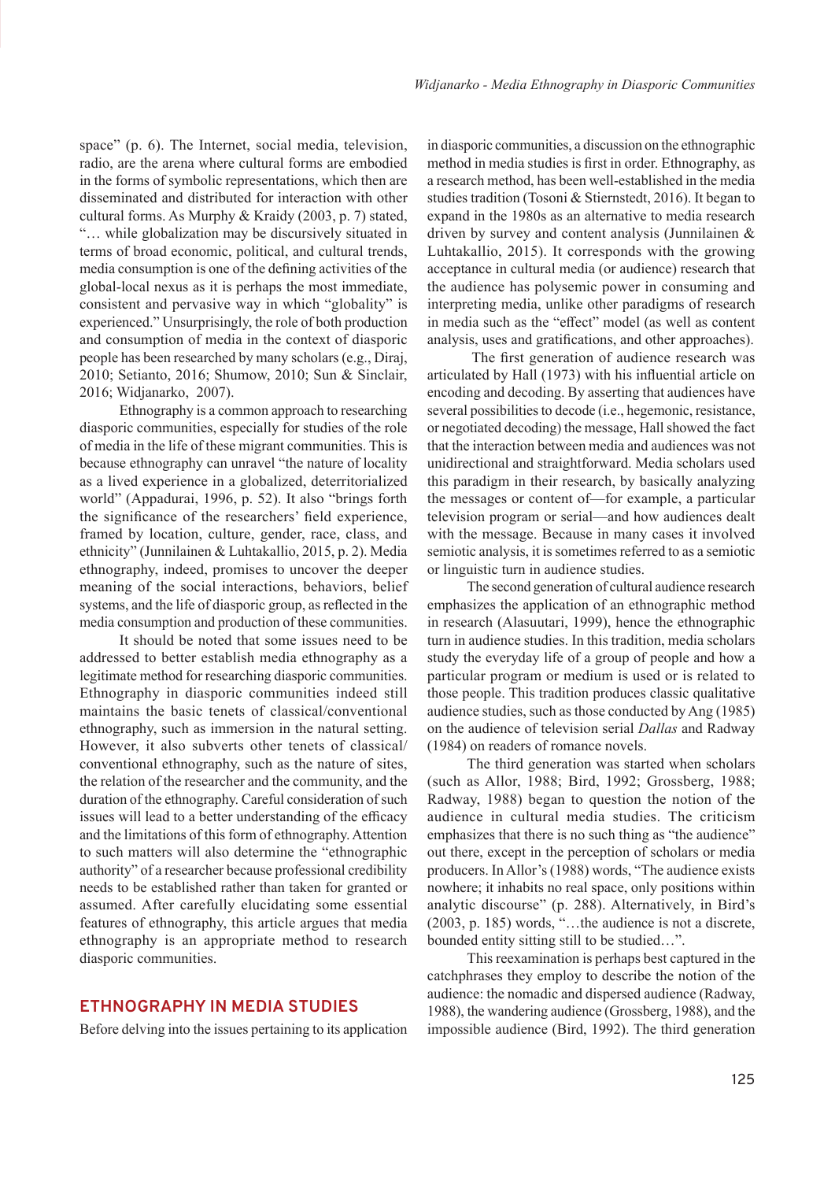space" (p. 6). The Internet, social media, television, radio, are the arena where cultural forms are embodied in the forms of symbolic representations, which then are disseminated and distributed for interaction with other cultural forms. As Murphy & Kraidy (2003, p. 7) stated, "… while globalization may be discursively situated in terms of broad economic, political, and cultural trends, media consumption is one of the defining activities of the global-local nexus as it is perhaps the most immediate, consistent and pervasive way in which "globality" is experienced." Unsurprisingly, the role of both production and consumption of media in the context of diasporic people has been researched by many scholars (e.g., Diraj, 2010; Setianto, 2016; Shumow, 2010; Sun & Sinclair, 2016; Widjanarko, 2007).

Ethnography is a common approach to researching diasporic communities, especially for studies of the role of media in the life of these migrant communities. This is because ethnography can unravel "the nature of locality as a lived experience in a globalized, deterritorialized world" (Appadurai, 1996, p. 52). It also "brings forth the significance of the researchers' field experience, framed by location, culture, gender, race, class, and ethnicity" (Junnilainen & Luhtakallio, 2015, p. 2). Media ethnography, indeed, promises to uncover the deeper meaning of the social interactions, behaviors, belief systems, and the life of diasporic group, as reflected in the media consumption and production of these communities.

It should be noted that some issues need to be addressed to better establish media ethnography as a legitimate method for researching diasporic communities. Ethnography in diasporic communities indeed still maintains the basic tenets of classical/conventional ethnography, such as immersion in the natural setting. However, it also subverts other tenets of classical/ conventional ethnography, such as the nature of sites, the relation of the researcher and the community, and the duration of the ethnography. Careful consideration of such issues will lead to a better understanding of the efficacy and the limitations of this form of ethnography. Attention to such matters will also determine the "ethnographic authority" of a researcher because professional credibility needs to be established rather than taken for granted or assumed. After carefully elucidating some essential features of ethnography, this article argues that media ethnography is an appropriate method to research diasporic communities.

## **ETHNOGRAPHY IN MEDIA STUDIES**

Before delving into the issues pertaining to its application

in diasporic communities, a discussion on the ethnographic method in media studies is first in order. Ethnography, as a research method, has been well-established in the media studies tradition (Tosoni & Stiernstedt, 2016). It began to expand in the 1980s as an alternative to media research driven by survey and content analysis (Junnilainen & Luhtakallio, 2015). It corresponds with the growing acceptance in cultural media (or audience) research that the audience has polysemic power in consuming and interpreting media, unlike other paradigms of research in media such as the "effect" model (as well as content analysis, uses and gratifications, and other approaches).

 The first generation of audience research was articulated by Hall (1973) with his influential article on encoding and decoding. By asserting that audiences have several possibilities to decode (i.e., hegemonic, resistance, or negotiated decoding) the message, Hall showed the fact that the interaction between media and audiences was not unidirectional and straightforward. Media scholars used this paradigm in their research, by basically analyzing the messages or content of—for example, a particular television program or serial—and how audiences dealt with the message. Because in many cases it involved semiotic analysis, it is sometimes referred to as a semiotic or linguistic turn in audience studies.

The second generation of cultural audience research emphasizes the application of an ethnographic method in research (Alasuutari, 1999), hence the ethnographic turn in audience studies. In this tradition, media scholars study the everyday life of a group of people and how a particular program or medium is used or is related to those people. This tradition produces classic qualitative audience studies, such as those conducted by Ang (1985) on the audience of television serial *Dallas* and Radway (1984) on readers of romance novels.

The third generation was started when scholars (such as Allor, 1988; Bird, 1992; Grossberg, 1988; Radway, 1988) began to question the notion of the audience in cultural media studies. The criticism emphasizes that there is no such thing as "the audience" out there, except in the perception of scholars or media producers. In Allor's (1988) words, "The audience exists nowhere; it inhabits no real space, only positions within analytic discourse" (p. 288). Alternatively, in Bird's (2003, p. 185) words, "…the audience is not a discrete, bounded entity sitting still to be studied…".

This reexamination is perhaps best captured in the catchphrases they employ to describe the notion of the audience: the nomadic and dispersed audience (Radway, 1988), the wandering audience (Grossberg, 1988), and the impossible audience (Bird, 1992). The third generation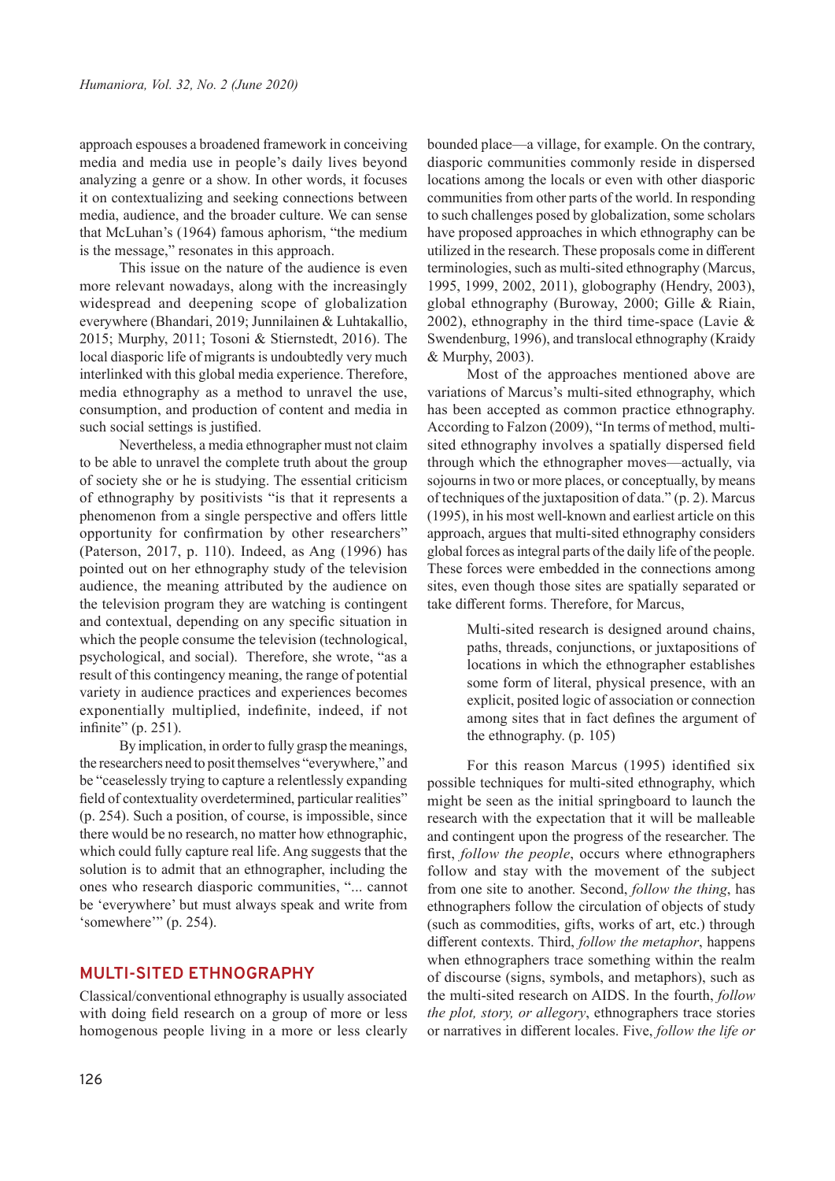approach espouses a broadened framework in conceiving media and media use in people's daily lives beyond analyzing a genre or a show. In other words, it focuses it on contextualizing and seeking connections between media, audience, and the broader culture. We can sense that McLuhan's (1964) famous aphorism, "the medium is the message," resonates in this approach.

This issue on the nature of the audience is even more relevant nowadays, along with the increasingly widespread and deepening scope of globalization everywhere (Bhandari, 2019; Junnilainen & Luhtakallio, 2015; Murphy, 2011; Tosoni & Stiernstedt, 2016). The local diasporic life of migrants is undoubtedly very much interlinked with this global media experience. Therefore, media ethnography as a method to unravel the use, consumption, and production of content and media in such social settings is justified.

Nevertheless, a media ethnographer must not claim to be able to unravel the complete truth about the group of society she or he is studying. The essential criticism of ethnography by positivists "is that it represents a phenomenon from a single perspective and offers little opportunity for confirmation by other researchers" (Paterson, 2017, p. 110). Indeed, as Ang (1996) has pointed out on her ethnography study of the television audience, the meaning attributed by the audience on the television program they are watching is contingent and contextual, depending on any specific situation in which the people consume the television (technological, psychological, and social). Therefore, she wrote, "as a result of this contingency meaning, the range of potential variety in audience practices and experiences becomes exponentially multiplied, indefinite, indeed, if not infinite" (p. 251).

By implication, in order to fully grasp the meanings, the researchers need to posit themselves "everywhere," and be "ceaselessly trying to capture a relentlessly expanding field of contextuality overdetermined, particular realities" (p. 254). Such a position, of course, is impossible, since there would be no research, no matter how ethnographic, which could fully capture real life. Ang suggests that the solution is to admit that an ethnographer, including the ones who research diasporic communities, "... cannot be 'everywhere' but must always speak and write from 'somewhere'" (p. 254).

## **MULTI-SITED ETHNOGRAPHY**

Classical/conventional ethnography is usually associated with doing field research on a group of more or less homogenous people living in a more or less clearly

bounded place—a village, for example. On the contrary, diasporic communities commonly reside in dispersed locations among the locals or even with other diasporic communities from other parts of the world. In responding to such challenges posed by globalization, some scholars have proposed approaches in which ethnography can be utilized in the research. These proposals come in different terminologies, such as multi-sited ethnography (Marcus, 1995, 1999, 2002, 2011), globography (Hendry, 2003), global ethnography (Buroway, 2000; Gille & Riain, 2002), ethnography in the third time-space (Lavie & Swendenburg, 1996), and translocal ethnography (Kraidy & Murphy, 2003).

Most of the approaches mentioned above are variations of Marcus's multi-sited ethnography, which has been accepted as common practice ethnography. According to Falzon (2009), "In terms of method, multisited ethnography involves a spatially dispersed field through which the ethnographer moves—actually, via sojourns in two or more places, or conceptually, by means of techniques of the juxtaposition of data." (p. 2). Marcus (1995), in his most well-known and earliest article on this approach, argues that multi-sited ethnography considers global forces as integral parts of the daily life of the people. These forces were embedded in the connections among sites, even though those sites are spatially separated or take different forms. Therefore, for Marcus,

> Multi-sited research is designed around chains, paths, threads, conjunctions, or juxtapositions of locations in which the ethnographer establishes some form of literal, physical presence, with an explicit, posited logic of association or connection among sites that in fact defines the argument of the ethnography. (p. 105)

For this reason Marcus (1995) identified six possible techniques for multi-sited ethnography, which might be seen as the initial springboard to launch the research with the expectation that it will be malleable and contingent upon the progress of the researcher. The first, *follow the people*, occurs where ethnographers follow and stay with the movement of the subject from one site to another. Second, *follow the thing*, has ethnographers follow the circulation of objects of study (such as commodities, gifts, works of art, etc.) through different contexts. Third, *follow the metaphor*, happens when ethnographers trace something within the realm of discourse (signs, symbols, and metaphors), such as the multi-sited research on AIDS. In the fourth, *follow the plot, story, or allegory*, ethnographers trace stories or narratives in different locales. Five, *follow the life or*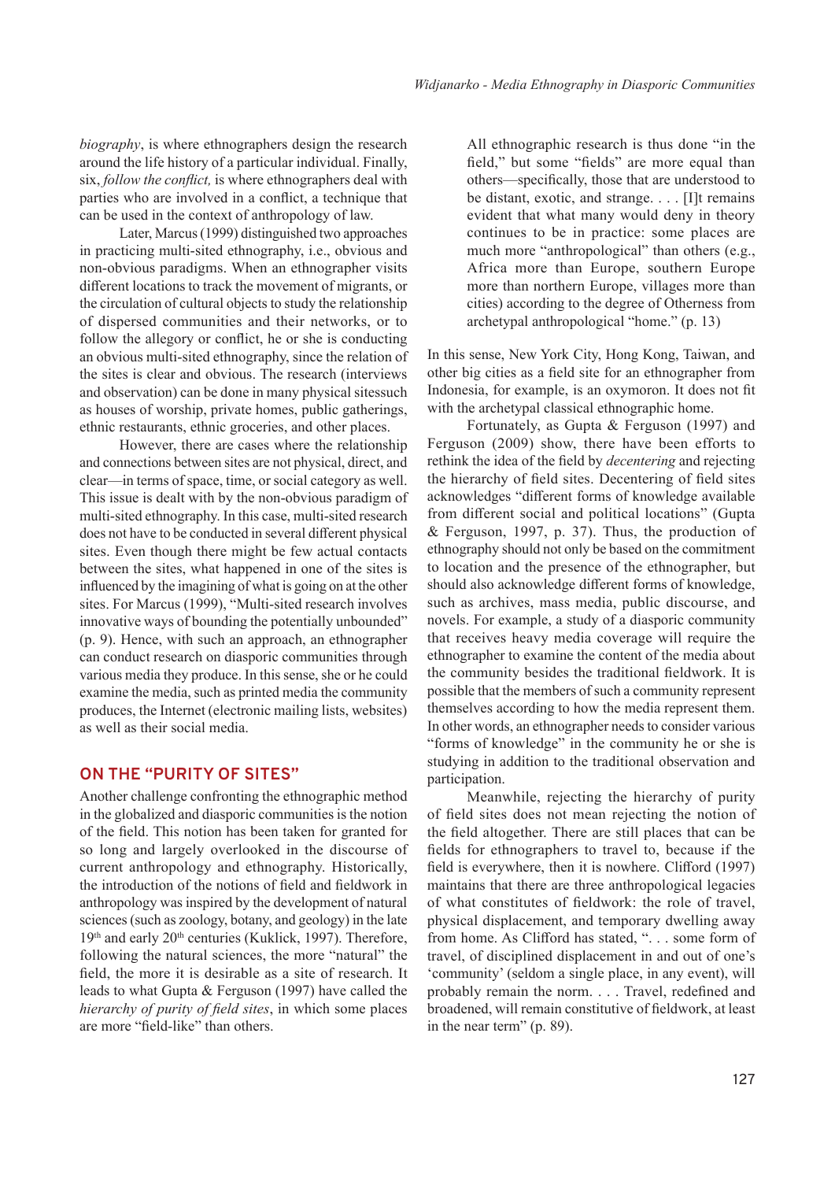*biography*, is where ethnographers design the research around the life history of a particular individual. Finally, six, *follow the conflict,* is where ethnographers deal with parties who are involved in a conflict, a technique that can be used in the context of anthropology of law.

Later, Marcus (1999) distinguished two approaches in practicing multi-sited ethnography, i.e., obvious and non-obvious paradigms. When an ethnographer visits different locations to track the movement of migrants, or the circulation of cultural objects to study the relationship of dispersed communities and their networks, or to follow the allegory or conflict, he or she is conducting an obvious multi-sited ethnography, since the relation of the sites is clear and obvious. The research (interviews and observation) can be done in many physical sitessuch as houses of worship, private homes, public gatherings, ethnic restaurants, ethnic groceries, and other places.

However, there are cases where the relationship and connections between sites are not physical, direct, and clear—in terms of space, time, or social category as well. This issue is dealt with by the non-obvious paradigm of multi-sited ethnography. In this case, multi-sited research does not have to be conducted in several different physical sites. Even though there might be few actual contacts between the sites, what happened in one of the sites is influenced by the imagining of what is going on at the other sites. For Marcus (1999), "Multi-sited research involves innovative ways of bounding the potentially unbounded" (p. 9). Hence, with such an approach, an ethnographer can conduct research on diasporic communities through various media they produce. In this sense, she or he could examine the media, such as printed media the community produces, the Internet (electronic mailing lists, websites) as well as their social media.

### **ON THE "PURITY OF SITES"**

Another challenge confronting the ethnographic method in the globalized and diasporic communities is the notion of the field. This notion has been taken for granted for so long and largely overlooked in the discourse of current anthropology and ethnography. Historically, the introduction of the notions of field and fieldwork in anthropology was inspired by the development of natural sciences (such as zoology, botany, and geology) in the late 19<sup>th</sup> and early 20<sup>th</sup> centuries (Kuklick, 1997). Therefore, following the natural sciences, the more "natural" the field, the more it is desirable as a site of research. It leads to what Gupta & Ferguson (1997) have called the *hierarchy of purity of field sites*, in which some places are more "field-like" than others.

All ethnographic research is thus done "in the field," but some "fields" are more equal than others—specifically, those that are understood to be distant, exotic, and strange. . . . [I]t remains evident that what many would deny in theory continues to be in practice: some places are much more "anthropological" than others (e.g., Africa more than Europe, southern Europe more than northern Europe, villages more than cities) according to the degree of Otherness from archetypal anthropological "home." (p. 13)

In this sense, New York City, Hong Kong, Taiwan, and other big cities as a field site for an ethnographer from Indonesia, for example, is an oxymoron. It does not fit with the archetypal classical ethnographic home.

Fortunately, as Gupta & Ferguson (1997) and Ferguson (2009) show, there have been efforts to rethink the idea of the field by *decentering* and rejecting the hierarchy of field sites. Decentering of field sites acknowledges "different forms of knowledge available from different social and political locations" (Gupta & Ferguson, 1997, p. 37). Thus, the production of ethnography should not only be based on the commitment to location and the presence of the ethnographer, but should also acknowledge different forms of knowledge, such as archives, mass media, public discourse, and novels. For example, a study of a diasporic community that receives heavy media coverage will require the ethnographer to examine the content of the media about the community besides the traditional fieldwork. It is possible that the members of such a community represent themselves according to how the media represent them. In other words, an ethnographer needs to consider various "forms of knowledge" in the community he or she is studying in addition to the traditional observation and participation.

Meanwhile, rejecting the hierarchy of purity of field sites does not mean rejecting the notion of the field altogether. There are still places that can be fields for ethnographers to travel to, because if the field is everywhere, then it is nowhere. Clifford (1997) maintains that there are three anthropological legacies of what constitutes of fieldwork: the role of travel, physical displacement, and temporary dwelling away from home. As Clifford has stated, ". . . some form of travel, of disciplined displacement in and out of one's 'community' (seldom a single place, in any event), will probably remain the norm. . . . Travel, redefined and broadened, will remain constitutive of fieldwork, at least in the near term" (p. 89).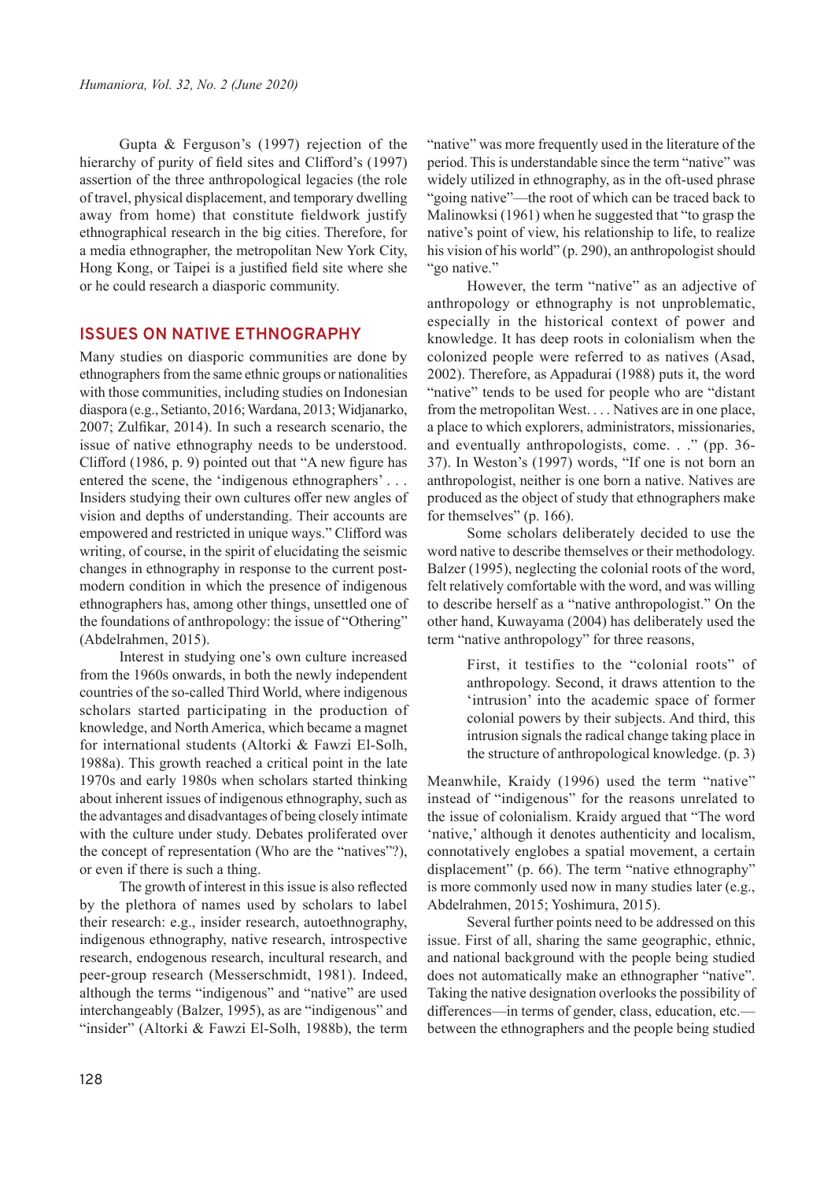Gupta & Ferguson's (1997) rejection of the hierarchy of purity of field sites and Clifford's (1997) assertion of the three anthropological legacies (the role of travel, physical displacement, and temporary dwelling away from home) that constitute fieldwork justify ethnographical research in the big cities. Therefore, for a media ethnographer, the metropolitan New York City, Hong Kong, or Taipei is a justified field site where she or he could research a diasporic community.

#### **ISSUES ON NATIVE ETHNOGRAPHY**

Many studies on diasporic communities are done by ethnographers from the same ethnic groups or nationalities with those communities, including studies on Indonesian diaspora (e.g., Setianto, 2016; Wardana, 2013; Widjanarko, 2007; Zulfikar, 2014). In such a research scenario, the issue of native ethnography needs to be understood. Clifford (1986, p. 9) pointed out that "A new figure has entered the scene, the 'indigenous ethnographers' . . . Insiders studying their own cultures offer new angles of vision and depths of understanding. Their accounts are empowered and restricted in unique ways." Clifford was writing, of course, in the spirit of elucidating the seismic changes in ethnography in response to the current postmodern condition in which the presence of indigenous ethnographers has, among other things, unsettled one of the foundations of anthropology: the issue of "Othering" (Abdelrahmen, 2015).

Interest in studying one's own culture increased from the 1960s onwards, in both the newly independent countries of the so-called Third World, where indigenous scholars started participating in the production of knowledge, and North America, which became a magnet for international students (Altorki & Fawzi El-Solh, 1988a). This growth reached a critical point in the late 1970s and early 1980s when scholars started thinking about inherent issues of indigenous ethnography, such as the advantages and disadvantages of being closely intimate with the culture under study. Debates proliferated over the concept of representation (Who are the "natives"?), or even if there is such a thing.

The growth of interest in this issue is also reflected by the plethora of names used by scholars to label their research: e.g., insider research, autoethnography, indigenous ethnography, native research, introspective research, endogenous research, incultural research, and peer-group research (Messerschmidt, 1981). Indeed, although the terms "indigenous" and "native" are used interchangeably (Balzer, 1995), as are "indigenous" and "insider" (Altorki & Fawzi El-Solh, 1988b), the term "native" was more frequently used in the literature of the period. This is understandable since the term "native" was widely utilized in ethnography, as in the oft-used phrase "going native"—the root of which can be traced back to Malinowksi (1961) when he suggested that "to grasp the native's point of view, his relationship to life, to realize his vision of his world" (p. 290), an anthropologist should "go native."

However, the term "native" as an adjective of anthropology or ethnography is not unproblematic, especially in the historical context of power and knowledge. It has deep roots in colonialism when the colonized people were referred to as natives (Asad, 2002). Therefore, as Appadurai (1988) puts it, the word "native" tends to be used for people who are "distant" from the metropolitan West. . . . Natives are in one place, a place to which explorers, administrators, missionaries, and eventually anthropologists, come. . ." (pp. 36- 37). In Weston's (1997) words, "If one is not born an anthropologist, neither is one born a native. Natives are produced as the object of study that ethnographers make for themselves" (p. 166).

Some scholars deliberately decided to use the word native to describe themselves or their methodology. Balzer (1995), neglecting the colonial roots of the word, felt relatively comfortable with the word, and was willing to describe herself as a "native anthropologist." On the other hand, Kuwayama (2004) has deliberately used the term "native anthropology" for three reasons,

> First, it testifies to the "colonial roots" of anthropology. Second, it draws attention to the 'intrusion' into the academic space of former colonial powers by their subjects. And third, this intrusion signals the radical change taking place in the structure of anthropological knowledge. (p. 3)

Meanwhile, Kraidy (1996) used the term "native" instead of "indigenous" for the reasons unrelated to the issue of colonialism. Kraidy argued that "The word 'native,' although it denotes authenticity and localism, connotatively englobes a spatial movement, a certain displacement" (p. 66). The term "native ethnography" is more commonly used now in many studies later (e.g., Abdelrahmen, 2015; Yoshimura, 2015).

Several further points need to be addressed on this issue. First of all, sharing the same geographic, ethnic, and national background with the people being studied does not automatically make an ethnographer "native". Taking the native designation overlooks the possibility of differences—in terms of gender, class, education, etc. between the ethnographers and the people being studied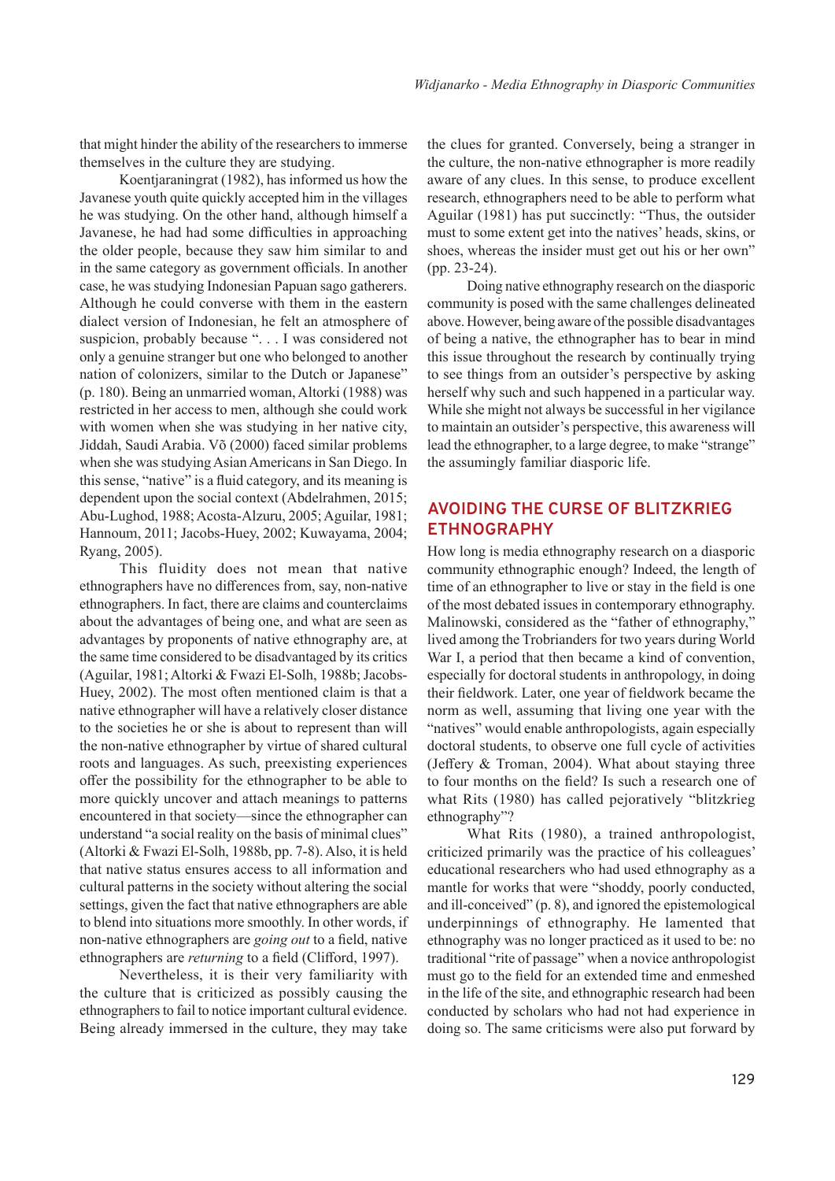that might hinder the ability of the researchers to immerse themselves in the culture they are studying.

Koentjaraningrat (1982), has informed us how the Javanese youth quite quickly accepted him in the villages he was studying. On the other hand, although himself a Javanese, he had had some difficulties in approaching the older people, because they saw him similar to and in the same category as government officials. In another case, he was studying Indonesian Papuan sago gatherers. Although he could converse with them in the eastern dialect version of Indonesian, he felt an atmosphere of suspicion, probably because ". . . I was considered not only a genuine stranger but one who belonged to another nation of colonizers, similar to the Dutch or Japanese" (p. 180). Being an unmarried woman, Altorki (1988) was restricted in her access to men, although she could work with women when she was studying in her native city, Jiddah, Saudi Arabia. Võ (2000) faced similar problems when she was studying Asian Americans in San Diego. In this sense, "native" is a fluid category, and its meaning is dependent upon the social context (Abdelrahmen, 2015; Abu-Lughod, 1988; Acosta-Alzuru, 2005; Aguilar, 1981; Hannoum, 2011; Jacobs-Huey, 2002; Kuwayama, 2004; Ryang, 2005).

This fluidity does not mean that native ethnographers have no differences from, say, non-native ethnographers. In fact, there are claims and counterclaims about the advantages of being one, and what are seen as advantages by proponents of native ethnography are, at the same time considered to be disadvantaged by its critics (Aguilar, 1981; Altorki & Fwazi El-Solh, 1988b; Jacobs-Huey, 2002). The most often mentioned claim is that a native ethnographer will have a relatively closer distance to the societies he or she is about to represent than will the non-native ethnographer by virtue of shared cultural roots and languages. As such, preexisting experiences offer the possibility for the ethnographer to be able to more quickly uncover and attach meanings to patterns encountered in that society—since the ethnographer can understand "a social reality on the basis of minimal clues" (Altorki & Fwazi El-Solh, 1988b, pp. 7-8). Also, it is held that native status ensures access to all information and cultural patterns in the society without altering the social settings, given the fact that native ethnographers are able to blend into situations more smoothly. In other words, if non-native ethnographers are *going out* to a field, native ethnographers are *returning* to a field (Clifford, 1997).

Nevertheless, it is their very familiarity with the culture that is criticized as possibly causing the ethnographers to fail to notice important cultural evidence. Being already immersed in the culture, they may take

the clues for granted. Conversely, being a stranger in the culture, the non-native ethnographer is more readily aware of any clues. In this sense, to produce excellent research, ethnographers need to be able to perform what Aguilar (1981) has put succinctly: "Thus, the outsider must to some extent get into the natives' heads, skins, or shoes, whereas the insider must get out his or her own" (pp. 23-24).

Doing native ethnography research on the diasporic community is posed with the same challenges delineated above. However, being aware of the possible disadvantages of being a native, the ethnographer has to bear in mind this issue throughout the research by continually trying to see things from an outsider's perspective by asking herself why such and such happened in a particular way. While she might not always be successful in her vigilance to maintain an outsider's perspective, this awareness will lead the ethnographer, to a large degree, to make "strange" the assumingly familiar diasporic life.

# **AVOIDING THE CURSE OF BLITZKRIEG ETHNOGRAPHY**

How long is media ethnography research on a diasporic community ethnographic enough? Indeed, the length of time of an ethnographer to live or stay in the field is one of the most debated issues in contemporary ethnography. Malinowski, considered as the "father of ethnography," lived among the Trobrianders for two years during World War I, a period that then became a kind of convention, especially for doctoral students in anthropology, in doing their fieldwork. Later, one year of fieldwork became the norm as well, assuming that living one year with the "natives" would enable anthropologists, again especially doctoral students, to observe one full cycle of activities (Jeffery & Troman, 2004). What about staying three to four months on the field? Is such a research one of what Rits (1980) has called pejoratively "blitzkrieg ethnography"?

What Rits (1980), a trained anthropologist, criticized primarily was the practice of his colleagues' educational researchers who had used ethnography as a mantle for works that were "shoddy, poorly conducted, and ill-conceived" (p. 8), and ignored the epistemological underpinnings of ethnography. He lamented that ethnography was no longer practiced as it used to be: no traditional "rite of passage" when a novice anthropologist must go to the field for an extended time and enmeshed in the life of the site, and ethnographic research had been conducted by scholars who had not had experience in doing so. The same criticisms were also put forward by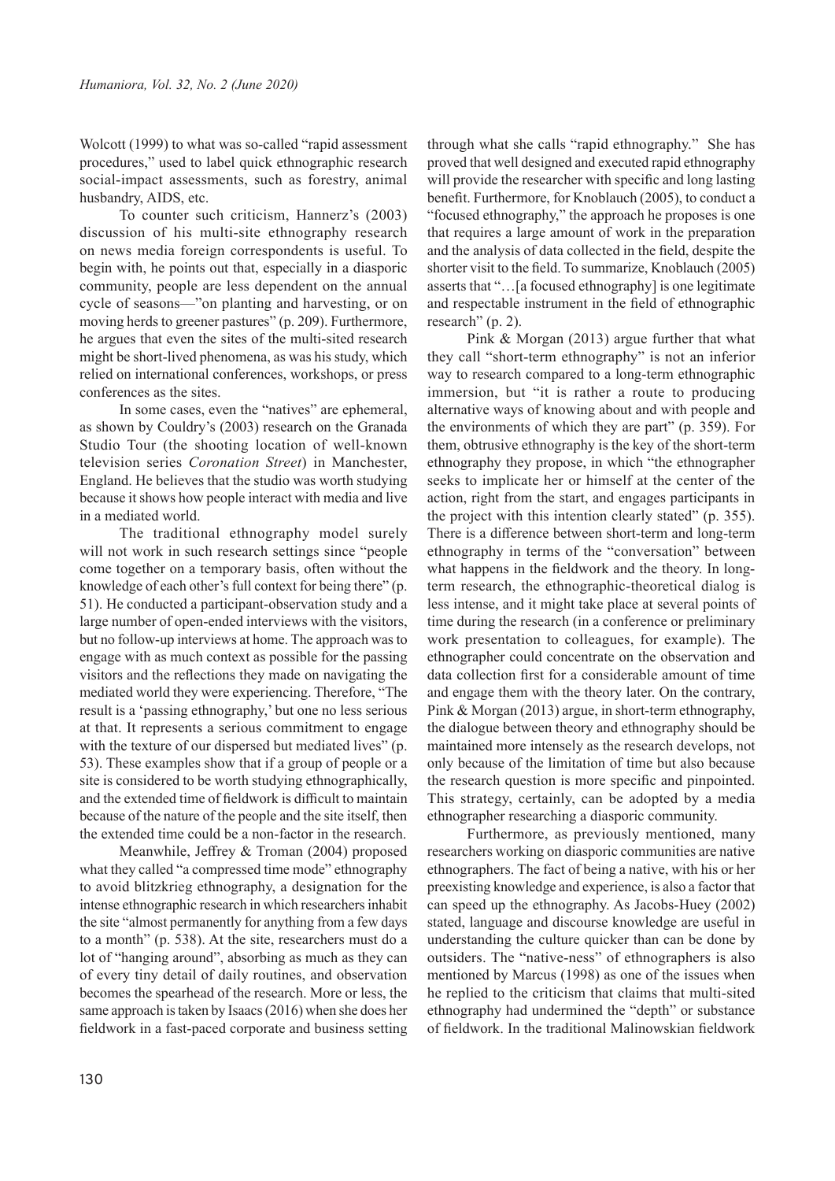Wolcott (1999) to what was so-called "rapid assessment procedures," used to label quick ethnographic research social-impact assessments, such as forestry, animal husbandry, AIDS, etc.

To counter such criticism, Hannerz's (2003) discussion of his multi-site ethnography research on news media foreign correspondents is useful. To begin with, he points out that, especially in a diasporic community, people are less dependent on the annual cycle of seasons—"on planting and harvesting, or on moving herds to greener pastures" (p. 209). Furthermore, he argues that even the sites of the multi-sited research might be short-lived phenomena, as was his study, which relied on international conferences, workshops, or press conferences as the sites.

In some cases, even the "natives" are ephemeral, as shown by Couldry's (2003) research on the Granada Studio Tour (the shooting location of well-known television series *Coronation Street*) in Manchester, England. He believes that the studio was worth studying because it shows how people interact with media and live in a mediated world.

The traditional ethnography model surely will not work in such research settings since "people come together on a temporary basis, often without the knowledge of each other's full context for being there" (p. 51). He conducted a participant-observation study and a large number of open-ended interviews with the visitors, but no follow-up interviews at home. The approach was to engage with as much context as possible for the passing visitors and the reflections they made on navigating the mediated world they were experiencing. Therefore, "The result is a 'passing ethnography,' but one no less serious at that. It represents a serious commitment to engage with the texture of our dispersed but mediated lives" (p. 53). These examples show that if a group of people or a site is considered to be worth studying ethnographically, and the extended time of fieldwork is difficult to maintain because of the nature of the people and the site itself, then the extended time could be a non-factor in the research.

Meanwhile, Jeffrey & Troman (2004) proposed what they called "a compressed time mode" ethnography to avoid blitzkrieg ethnography, a designation for the intense ethnographic research in which researchers inhabit the site "almost permanently for anything from a few days to a month" (p. 538). At the site, researchers must do a lot of "hanging around", absorbing as much as they can of every tiny detail of daily routines, and observation becomes the spearhead of the research. More or less, the same approach is taken by Isaacs (2016) when she does her fieldwork in a fast-paced corporate and business setting

through what she calls "rapid ethnography." She has proved that well designed and executed rapid ethnography will provide the researcher with specific and long lasting benefit. Furthermore, for Knoblauch (2005), to conduct a "focused ethnography," the approach he proposes is one that requires a large amount of work in the preparation and the analysis of data collected in the field, despite the shorter visit to the field. To summarize, Knoblauch (2005) asserts that "…[a focused ethnography] is one legitimate and respectable instrument in the field of ethnographic research" (p. 2).

Pink & Morgan (2013) argue further that what they call "short-term ethnography" is not an inferior way to research compared to a long-term ethnographic immersion, but "it is rather a route to producing alternative ways of knowing about and with people and the environments of which they are part" (p. 359). For them, obtrusive ethnography is the key of the short-term ethnography they propose, in which "the ethnographer seeks to implicate her or himself at the center of the action, right from the start, and engages participants in the project with this intention clearly stated" (p. 355). There is a difference between short-term and long-term ethnography in terms of the "conversation" between what happens in the fieldwork and the theory. In longterm research, the ethnographic-theoretical dialog is less intense, and it might take place at several points of time during the research (in a conference or preliminary work presentation to colleagues, for example). The ethnographer could concentrate on the observation and data collection first for a considerable amount of time and engage them with the theory later. On the contrary, Pink & Morgan (2013) argue, in short-term ethnography, the dialogue between theory and ethnography should be maintained more intensely as the research develops, not only because of the limitation of time but also because the research question is more specific and pinpointed. This strategy, certainly, can be adopted by a media ethnographer researching a diasporic community.

Furthermore, as previously mentioned, many researchers working on diasporic communities are native ethnographers. The fact of being a native, with his or her preexisting knowledge and experience, is also a factor that can speed up the ethnography. As Jacobs-Huey (2002) stated, language and discourse knowledge are useful in understanding the culture quicker than can be done by outsiders. The "native-ness" of ethnographers is also mentioned by Marcus (1998) as one of the issues when he replied to the criticism that claims that multi-sited ethnography had undermined the "depth" or substance of fieldwork. In the traditional Malinowskian fieldwork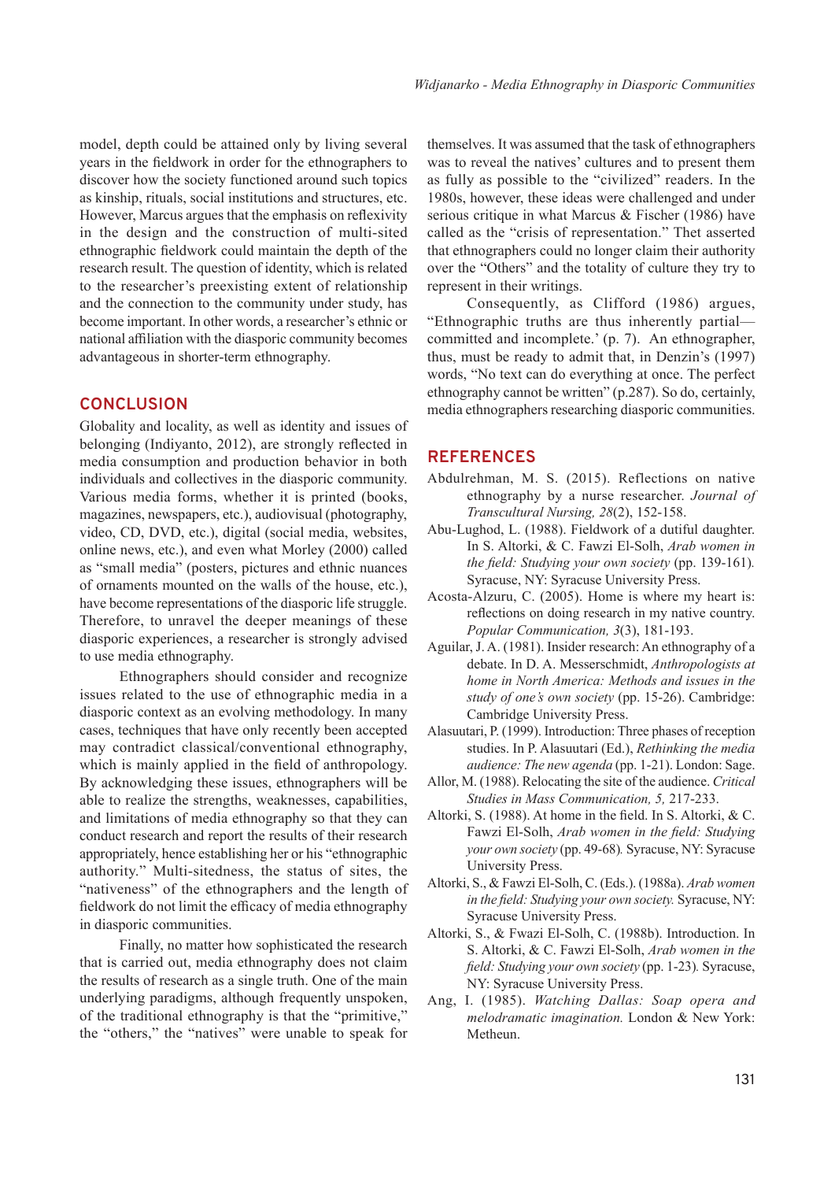model, depth could be attained only by living several years in the fieldwork in order for the ethnographers to discover how the society functioned around such topics as kinship, rituals, social institutions and structures, etc. However, Marcus argues that the emphasis on reflexivity in the design and the construction of multi-sited ethnographic fieldwork could maintain the depth of the research result. The question of identity, which is related to the researcher's preexisting extent of relationship and the connection to the community under study, has become important. In other words, a researcher's ethnic or national affiliation with the diasporic community becomes advantageous in shorter-term ethnography.

### **CONCLUSION**

Globality and locality, as well as identity and issues of belonging (Indiyanto, 2012), are strongly reflected in media consumption and production behavior in both individuals and collectives in the diasporic community. Various media forms, whether it is printed (books, magazines, newspapers, etc.), audiovisual (photography, video, CD, DVD, etc.), digital (social media, websites, online news, etc.), and even what Morley (2000) called as "small media" (posters, pictures and ethnic nuances of ornaments mounted on the walls of the house, etc.), have become representations of the diasporic life struggle. Therefore, to unravel the deeper meanings of these diasporic experiences, a researcher is strongly advised to use media ethnography.

Ethnographers should consider and recognize issues related to the use of ethnographic media in a diasporic context as an evolving methodology. In many cases, techniques that have only recently been accepted may contradict classical/conventional ethnography, which is mainly applied in the field of anthropology. By acknowledging these issues, ethnographers will be able to realize the strengths, weaknesses, capabilities, and limitations of media ethnography so that they can conduct research and report the results of their research appropriately, hence establishing her or his "ethnographic authority." Multi-sitedness, the status of sites, the "nativeness" of the ethnographers and the length of fieldwork do not limit the efficacy of media ethnography in diasporic communities.

Finally, no matter how sophisticated the research that is carried out, media ethnography does not claim the results of research as a single truth. One of the main underlying paradigms, although frequently unspoken, of the traditional ethnography is that the "primitive," the "others," the "natives" were unable to speak for

themselves. It was assumed that the task of ethnographers was to reveal the natives' cultures and to present them as fully as possible to the "civilized" readers. In the 1980s, however, these ideas were challenged and under serious critique in what Marcus & Fischer (1986) have called as the "crisis of representation." Thet asserted that ethnographers could no longer claim their authority over the "Others" and the totality of culture they try to represent in their writings.

Consequently, as Clifford (1986) argues, "Ethnographic truths are thus inherently partial committed and incomplete.' (p. 7). An ethnographer, thus, must be ready to admit that, in Denzin's (1997) words, "No text can do everything at once. The perfect ethnography cannot be written" (p.287). So do, certainly, media ethnographers researching diasporic communities.

#### **REFERENCES**

- Abdulrehman, M. S. (2015). Reflections on native ethnography by a nurse researcher. *Journal of Transcultural Nursing, 28*(2), 152-158.
- Abu-Lughod, L. (1988). Fieldwork of a dutiful daughter. In S. Altorki, & C. Fawzi El-Solh, *Arab women in the field: Studying your own society* (pp. 139-161)*.*  Syracuse, NY: Syracuse University Press.
- Acosta-Alzuru, C. (2005). Home is where my heart is: reflections on doing research in my native country. *Popular Communication, 3*(3), 181-193.
- Aguilar, J. A. (1981). Insider research: An ethnography of a debate. In D. A. Messerschmidt, *Anthropologists at home in North America: Methods and issues in the study of one's own society* (pp. 15-26). Cambridge: Cambridge University Press.
- Alasuutari, P. (1999). Introduction: Three phases of reception studies. In P. Alasuutari (Ed.), *Rethinking the media audience: The new agenda* (pp. 1-21). London: Sage.
- Allor, M. (1988). Relocating the site of the audience. *Critical Studies in Mass Communication, 5,* 217-233.
- Altorki, S. (1988). At home in the field. In S. Altorki, & C. Fawzi El-Solh, *Arab women in the field: Studying your own society* (pp. 49-68)*.* Syracuse, NY: Syracuse University Press.
- Altorki, S., & Fawzi El-Solh, C. (Eds.). (1988a). *Arab women in the field: Studying your own society.* Syracuse, NY: Syracuse University Press.
- Altorki, S., & Fwazi El-Solh, C. (1988b). Introduction. In S. Altorki, & C. Fawzi El-Solh, *Arab women in the field: Studying your own society* (pp. 1-23)*.* Syracuse, NY: Syracuse University Press.
- Ang, I. (1985). *Watching Dallas: Soap opera and melodramatic imagination.* London & New York: Metheun.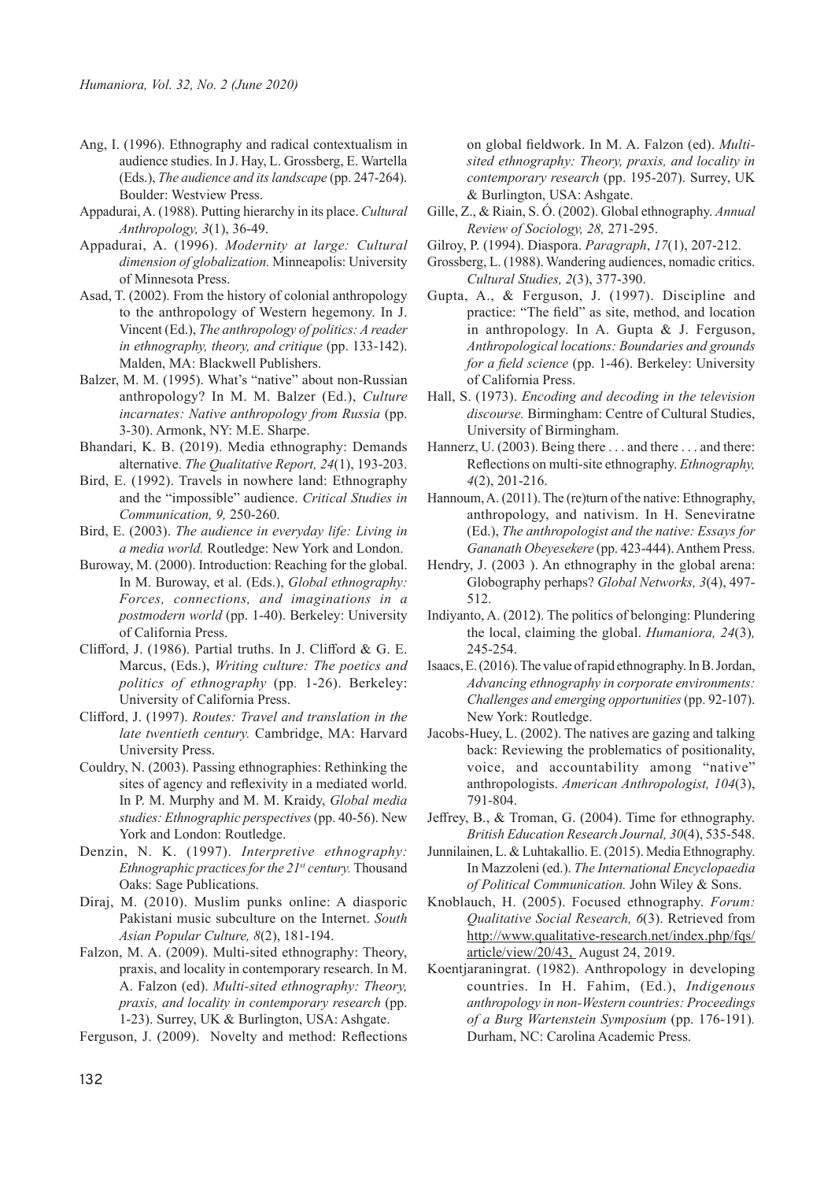- Ang, I. (1996). Ethnography and radical contextualism in audience studies. In J. Hay, L. Grossberg, E. Wartella (Eds.), *The audience and its landscape* (pp. 247-264). Boulder: Westview Press.
- Appadurai, A. (1988). Putting hierarchy in its place. *Cultural Anthropology, 3*(1), 36-49.
- Appadurai, A. (1996). *Modernity at large: Cultural dimension of globalization.* Minneapolis: University of Minnesota Press.
- Asad, T. (2002). From the history of colonial anthropology to the anthropology of Western hegemony. In J. Vincent (Ed.), *The anthropology of politics: A reader in ethnography, theory, and critique* (pp. 133-142). Malden, MA: Blackwell Publishers.
- Balzer, M. M. (1995). What's "native" about non-Russian anthropology? In M. M. Balzer (Ed.), *Culture incarnates: Native anthropology from Russia* (pp. 3-30). Armonk, NY: M.E. Sharpe.
- Bhandari, K. B. (2019). Media ethnography: Demands alternative. *The Qualitative Report, 24*(1), 193-203.
- Bird, E. (1992). Travels in nowhere land: Ethnography and the "impossible" audience. *Critical Studies in Communication, 9,* 250-260.
- Bird, E. (2003). *The audience in everyday life: Living in a media world.* Routledge: New York and London.
- Buroway, M. (2000). Introduction: Reaching for the global. In M. Buroway, et al. (Eds.), *Global ethnography: Forces, connections, and imaginations in a postmodern world* (pp. 1-40). Berkeley: University of California Press.
- Clifford, J. (1986). Partial truths. In J. Clifford & G. E. Marcus, (Eds.), *Writing culture: The poetics and politics of ethnography* (pp*.* 1-26). Berkeley: University of California Press.
- Clifford, J. (1997). *Routes: Travel and translation in the late twentieth century.* Cambridge, MA: Harvard University Press.
- Couldry, N. (2003). Passing ethnographies: Rethinking the sites of agency and reflexivity in a mediated world. In P. M. Murphy and M. M. Kraidy, *Global media studies: Ethnographic perspectives* (pp. 40-56). New York and London: Routledge.
- Denzin, N. K. (1997). *Interpretive ethnography: Ethnographic practices for the 21st century.* Thousand Oaks: Sage Publications.
- Diraj, M. (2010). Muslim punks online: A diasporic Pakistani music subculture on the Internet. *South Asian Popular Culture, 8*(2), 181-194.
- Falzon, M. A. (2009). Multi-sited ethnography: Theory, praxis, and locality in contemporary research. In M. A. Falzon (ed). *Multi-sited ethnography: Theory, praxis, and locality in contemporary research* (pp. 1-23). Surrey, UK & Burlington, USA: Ashgate.

Ferguson, J. (2009). Novelty and method: Reflections

on global fieldwork. In M. A. Falzon (ed). *Multisited ethnography: Theory, praxis, and locality in contemporary research* (pp. 195-207). Surrey, UK & Burlington, USA: Ashgate.

- Gille, Z., & Riain, S. Ó. (2002). Global ethnography. *Annual Review of Sociology, 28,* 271-295.
- Gilroy, P. (1994). Diaspora. *Paragraph*, *17*(1), 207-212.
- Grossberg, L. (1988). Wandering audiences, nomadic critics. *Cultural Studies, 2*(3), 377-390.
- Gupta, A., & Ferguson, J. (1997). Discipline and practice: "The field" as site, method, and location in anthropology. In A. Gupta & J. Ferguson, *Anthropological locations: Boundaries and grounds for a field science* (pp. 1-46). Berkeley: University of California Press.
- Hall, S. (1973). *Encoding and decoding in the television discourse.* Birmingham: Centre of Cultural Studies, University of Birmingham.
- Hannerz, U. (2003). Being there . . . and there . . . and there: Reflections on multi-site ethnography. *Ethnography, 4*(2), 201-216.
- Hannoum, A. (2011). The (re)turn of the native: Ethnography, anthropology, and nativism. In H. Seneviratne (Ed.), *The anthropologist and the native: Essays for Gananath Obeyesekere* (pp. 423-444). Anthem Press.
- Hendry, J. (2003 ). An ethnography in the global arena: Globography perhaps? *Global Networks, 3*(4), 497- 512.
- Indiyanto, A. (2012). The politics of belonging: Plundering the local, claiming the global. *Humaniora, 24*(3)*,* 245-254.
- Isaacs, E. (2016). The value of rapid ethnography. In B. Jordan, *Advancing ethnography in corporate environments: Challenges and emerging opportunities* (pp. 92-107). New York: Routledge.
- Jacobs-Huey, L. (2002). The natives are gazing and talking back: Reviewing the problematics of positionality, voice, and accountability among "native" anthropologists. *American Anthropologist, 104*(3), 791-804.
- Jeffrey, B., & Troman, G. (2004). Time for ethnography. *British Education Research Journal, 30*(4), 535-548.
- Junnilainen, L. & Luhtakallio. E. (2015). Media Ethnography. In Mazzoleni (ed.). *The International Encyclopaedia of Political Communication.* John Wiley & Sons.
- Knoblauch, H. (2005). Focused ethnography. *Forum: Qualitative Social Research, 6*(3). Retrieved from http://www.qualitative-research.net/index.php/fqs/ article/view/20/43, August 24, 2019.
- Koentjaraningrat. (1982). Anthropology in developing countries. In H. Fahim, (Ed.), *Indigenous anthropology in non-Western countries: Proceedings of a Burg Wartenstein Symposium* (pp. 176-191)*.*  Durham, NC: Carolina Academic Press.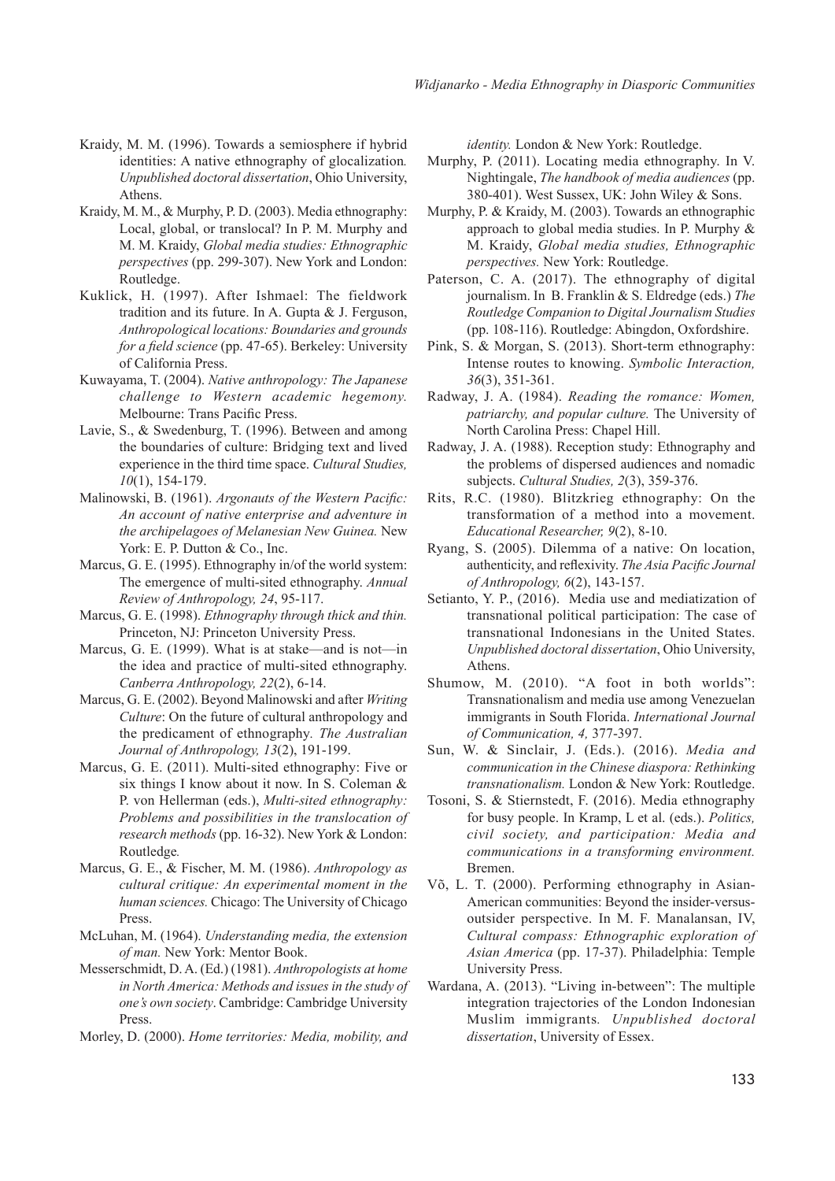- Kraidy, M. M. (1996). Towards a semiosphere if hybrid identities: A native ethnography of glocalization*. Unpublished doctoral dissertation*, Ohio University, Athens.
- Kraidy, M. M., & Murphy, P. D. (2003). Media ethnography: Local, global, or translocal? In P. M. Murphy and M. M. Kraidy, *Global media studies: Ethnographic perspectives* (pp. 299-307). New York and London: Routledge.
- Kuklick, H. (1997). After Ishmael: The fieldwork tradition and its future. In A. Gupta & J. Ferguson, *Anthropological locations: Boundaries and grounds for a field science* (pp. 47-65). Berkeley: University of California Press.
- Kuwayama, T. (2004). *Native anthropology: The Japanese challenge to Western academic hegemony.*  Melbourne: Trans Pacific Press.
- Lavie, S., & Swedenburg, T. (1996). Between and among the boundaries of culture: Bridging text and lived experience in the third time space. *Cultural Studies, 10*(1), 154-179.
- Malinowski, B. (1961). *Argonauts of the Western Pacific: An account of native enterprise and adventure in the archipelagoes of Melanesian New Guinea.* New York: E. P. Dutton & Co., Inc.
- Marcus, G. E. (1995). Ethnography in/of the world system: The emergence of multi-sited ethnography. *Annual Review of Anthropology, 24*, 95-117.
- Marcus, G. E. (1998). *Ethnography through thick and thin.* Princeton, NJ: Princeton University Press.
- Marcus, G. E. (1999). What is at stake—and is not—in the idea and practice of multi-sited ethnography. *Canberra Anthropology, 22*(2), 6-14.
- Marcus, G. E. (2002). Beyond Malinowski and after *Writing Culture*: On the future of cultural anthropology and the predicament of ethnography*. The Australian Journal of Anthropology, 13*(2), 191-199.
- Marcus, G. E. (2011). Multi-sited ethnography: Five or six things I know about it now. In S. Coleman & P. von Hellerman (eds.), *Multi-sited ethnography: Problems and possibilities in the translocation of research methods* (pp. 16-32). New York & London: Routledge*.*
- Marcus, G. E., & Fischer, M. M. (1986). *Anthropology as cultural critique: An experimental moment in the human sciences.* Chicago: The University of Chicago Press.
- McLuhan, M. (1964). *Understanding media, the extension of man.* New York: Mentor Book.
- Messerschmidt, D. A. (Ed.) (1981). *Anthropologists at home in North America: Methods and issues in the study of one's own society*. Cambridge: Cambridge University Press.
- Morley, D. (2000). *Home territories: Media, mobility, and*

*identity.* London & New York: Routledge.

- Murphy, P. (2011). Locating media ethnography. In V. Nightingale, *The handbook of media audiences* (pp. 380-401). West Sussex, UK: John Wiley & Sons.
- Murphy, P. & Kraidy, M. (2003). Towards an ethnographic approach to global media studies. In P. Murphy & M. Kraidy, *Global media studies, Ethnographic perspectives.* New York: Routledge.
- Paterson, C. A. (2017). The ethnography of digital journalism. In B. Franklin & S. Eldredge (eds.) *The Routledge Companion to Digital Journalism Studies* (pp. 108-116). Routledge: Abingdon, Oxfordshire.
- Pink, S. & Morgan, S. (2013). Short-term ethnography: Intense routes to knowing. *Symbolic Interaction, 36*(3), 351-361.
- Radway, J. A. (1984). *Reading the romance: Women, patriarchy, and popular culture.* The University of North Carolina Press: Chapel Hill.
- Radway, J. A. (1988). Reception study: Ethnography and the problems of dispersed audiences and nomadic subjects. *Cultural Studies, 2*(3), 359-376.
- Rits, R.C. (1980). Blitzkrieg ethnography: On the transformation of a method into a movement. *Educational Researcher, 9*(2), 8-10.
- Ryang, S. (2005). Dilemma of a native: On location, authenticity, and reflexivity. *The Asia Pacific Journal of Anthropology, 6*(2), 143-157.
- Setianto, Y. P., (2016). Media use and mediatization of transnational political participation: The case of transnational Indonesians in the United States. *Unpublished doctoral dissertation*, Ohio University, Athens.
- Shumow, M. (2010). "A foot in both worlds": Transnationalism and media use among Venezuelan immigrants in South Florida. *International Journal of Communication, 4,* 377-397.
- Sun, W. & Sinclair, J. (Eds.). (2016). *Media and communication in the Chinese diaspora: Rethinking transnationalism.* London & New York: Routledge.
- Tosoni, S. & Stiernstedt, F. (2016). Media ethnography for busy people. In Kramp, L et al. (eds.). *Politics, civil society, and participation: Media and communications in a transforming environment.*  Bremen.
- Võ, L. T. (2000). Performing ethnography in Asian-American communities: Beyond the insider-versusoutsider perspective. In M. F. Manalansan, IV, *Cultural compass: Ethnographic exploration of Asian America* (pp. 17-37). Philadelphia: Temple University Press.
- Wardana, A. (2013). "Living in-between": The multiple integration trajectories of the London Indonesian Muslim immigrants*. Unpublished doctoral dissertation*, University of Essex.